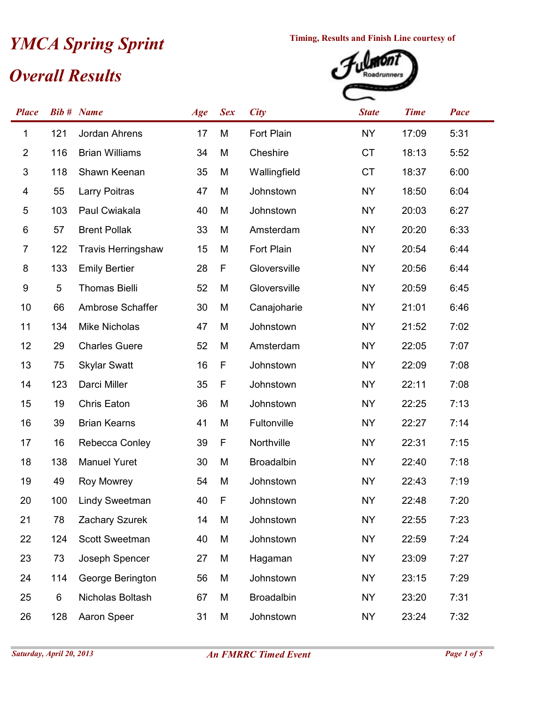## *Overall Results* **Timing, Results and Finish Line courtesy of**<br> **Civerall Results**



| <b>Place</b>              |     | <b>Bib #</b> Name         | Age | <b>Sex</b>  | <b>City</b>       | <b>State</b> | <b>Time</b> | Pace |
|---------------------------|-----|---------------------------|-----|-------------|-------------------|--------------|-------------|------|
| 1                         | 121 | Jordan Ahrens             | 17  | M           | Fort Plain        | <b>NY</b>    | 17:09       | 5:31 |
| $\overline{2}$            | 116 | <b>Brian Williams</b>     | 34  | M           | Cheshire          | <b>CT</b>    | 18:13       | 5:52 |
| $\ensuremath{\mathsf{3}}$ | 118 | Shawn Keenan              | 35  | M           | Wallingfield      | <b>CT</b>    | 18:37       | 6:00 |
| 4                         | 55  | Larry Poitras             | 47  | M           | Johnstown         | <b>NY</b>    | 18:50       | 6:04 |
| 5                         | 103 | Paul Cwiakala             | 40  | M           | Johnstown         | <b>NY</b>    | 20:03       | 6:27 |
| 6                         | 57  | <b>Brent Pollak</b>       | 33  | M           | Amsterdam         | <b>NY</b>    | 20:20       | 6:33 |
| $\overline{7}$            | 122 | <b>Travis Herringshaw</b> | 15  | M           | Fort Plain        | <b>NY</b>    | 20:54       | 6:44 |
| 8                         | 133 | <b>Emily Bertier</b>      | 28  | F           | Gloversville      | <b>NY</b>    | 20:56       | 6:44 |
| 9                         | 5   | <b>Thomas Bielli</b>      | 52  | M           | Gloversville      | <b>NY</b>    | 20:59       | 6:45 |
| 10                        | 66  | Ambrose Schaffer          | 30  | M           | Canajoharie       | <b>NY</b>    | 21:01       | 6:46 |
| 11                        | 134 | <b>Mike Nicholas</b>      | 47  | M           | Johnstown         | <b>NY</b>    | 21:52       | 7:02 |
| 12                        | 29  | <b>Charles Guere</b>      | 52  | M           | Amsterdam         | <b>NY</b>    | 22:05       | 7:07 |
| 13                        | 75  | <b>Skylar Swatt</b>       | 16  | F           | Johnstown         | <b>NY</b>    | 22:09       | 7:08 |
| 14                        | 123 | Darci Miller              | 35  | F           | Johnstown         | <b>NY</b>    | 22:11       | 7:08 |
| 15                        | 19  | Chris Eaton               | 36  | M           | Johnstown         | <b>NY</b>    | 22:25       | 7:13 |
| 16                        | 39  | <b>Brian Kearns</b>       | 41  | M           | Fultonville       | <b>NY</b>    | 22:27       | 7:14 |
| 17                        | 16  | Rebecca Conley            | 39  | F           | Northville        | <b>NY</b>    | 22:31       | 7:15 |
| 18                        | 138 | <b>Manuel Yuret</b>       | 30  | M           | <b>Broadalbin</b> | <b>NY</b>    | 22:40       | 7:18 |
| 19                        | 49  | Roy Mowrey                | 54  | M           | Johnstown         | <b>NY</b>    | 22:43       | 7:19 |
| 20                        | 100 | <b>Lindy Sweetman</b>     | 40  | $\mathsf F$ | Johnstown         | <b>NY</b>    | 22:48       | 7:20 |
| 21                        | 78  | Zachary Szurek            | 14  | M           | Johnstown         | <b>NY</b>    | 22:55       | 7:23 |
| 22                        | 124 | <b>Scott Sweetman</b>     | 40  | M           | Johnstown         | <b>NY</b>    | 22:59       | 7:24 |
| 23                        | 73  | Joseph Spencer            | 27  | M           | Hagaman           | <b>NY</b>    | 23:09       | 7:27 |
| 24                        | 114 | George Berington          | 56  | M           | Johnstown         | <b>NY</b>    | 23:15       | 7:29 |
| 25                        | 6   | Nicholas Boltash          | 67  | M           | <b>Broadalbin</b> | <b>NY</b>    | 23:20       | 7:31 |
| 26                        | 128 | Aaron Speer               | 31  | М           | Johnstown         | <b>NY</b>    | 23:24       | 7:32 |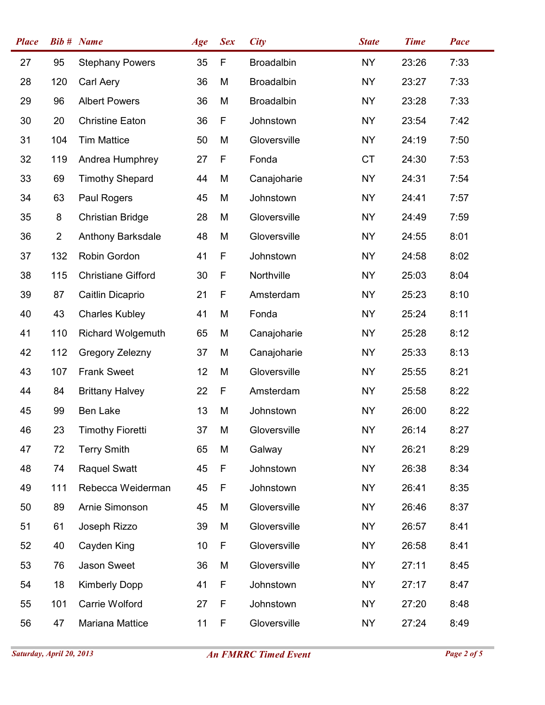| <b>Place</b> |                | <b>Bib #</b> Name         | Age | <b>Sex</b> | <b>City</b>       | <b>State</b> | <b>Time</b> | Pace |
|--------------|----------------|---------------------------|-----|------------|-------------------|--------------|-------------|------|
| 27           | 95             | <b>Stephany Powers</b>    | 35  | F          | <b>Broadalbin</b> | <b>NY</b>    | 23:26       | 7:33 |
| 28           | 120            | Carl Aery                 | 36  | M          | <b>Broadalbin</b> | <b>NY</b>    | 23:27       | 7:33 |
| 29           | 96             | <b>Albert Powers</b>      | 36  | M          | <b>Broadalbin</b> | <b>NY</b>    | 23:28       | 7:33 |
| 30           | 20             | <b>Christine Eaton</b>    | 36  | F          | Johnstown         | <b>NY</b>    | 23:54       | 7:42 |
| 31           | 104            | <b>Tim Mattice</b>        | 50  | M          | Gloversville      | <b>NY</b>    | 24:19       | 7:50 |
| 32           | 119            | Andrea Humphrey           | 27  | F          | Fonda             | <b>CT</b>    | 24:30       | 7:53 |
| 33           | 69             | <b>Timothy Shepard</b>    | 44  | M          | Canajoharie       | <b>NY</b>    | 24:31       | 7:54 |
| 34           | 63             | Paul Rogers               | 45  | M          | Johnstown         | <b>NY</b>    | 24:41       | 7:57 |
| 35           | 8              | <b>Christian Bridge</b>   | 28  | M          | Gloversville      | <b>NY</b>    | 24:49       | 7:59 |
| 36           | $\overline{2}$ | Anthony Barksdale         | 48  | M          | Gloversville      | <b>NY</b>    | 24:55       | 8:01 |
| 37           | 132            | Robin Gordon              | 41  | F          | Johnstown         | <b>NY</b>    | 24:58       | 8:02 |
| 38           | 115            | <b>Christiane Gifford</b> | 30  | F          | Northville        | <b>NY</b>    | 25:03       | 8:04 |
| 39           | 87             | Caitlin Dicaprio          | 21  | F          | Amsterdam         | <b>NY</b>    | 25:23       | 8:10 |
| 40           | 43             | <b>Charles Kubley</b>     | 41  | M          | Fonda             | <b>NY</b>    | 25:24       | 8:11 |
| 41           | 110            | Richard Wolgemuth         | 65  | M          | Canajoharie       | <b>NY</b>    | 25:28       | 8:12 |
| 42           | 112            | Gregory Zelezny           | 37  | M          | Canajoharie       | <b>NY</b>    | 25:33       | 8:13 |
| 43           | 107            | <b>Frank Sweet</b>        | 12  | M          | Gloversville      | <b>NY</b>    | 25:55       | 8:21 |
| 44           | 84             | <b>Brittany Halvey</b>    | 22  | F          | Amsterdam         | NY.          | 25:58       | 8:22 |
| 45           | 99             | Ben Lake                  | 13  | M          | Johnstown         | <b>NY</b>    | 26:00       | 8:22 |
| 46           | 23             | <b>Timothy Fioretti</b>   | 37  | M          | Gloversville      | <b>NY</b>    | 26:14       | 8:27 |
| 47           | 72             | <b>Terry Smith</b>        | 65  | M          | Galway            | <b>NY</b>    | 26:21       | 8:29 |
| 48           | 74             | <b>Raquel Swatt</b>       | 45  | F          | Johnstown         | <b>NY</b>    | 26:38       | 8:34 |
| 49           | 111            | Rebecca Weiderman         | 45  | F          | Johnstown         | <b>NY</b>    | 26:41       | 8:35 |
| 50           | 89             | Arnie Simonson            | 45  | M          | Gloversville      | <b>NY</b>    | 26:46       | 8:37 |
| 51           | 61             | Joseph Rizzo              | 39  | M          | Gloversville      | <b>NY</b>    | 26:57       | 8:41 |
| 52           | 40             | Cayden King               | 10  | F          | Gloversville      | NY           | 26:58       | 8:41 |
| 53           | 76             | Jason Sweet               | 36  | M          | Gloversville      | <b>NY</b>    | 27:11       | 8:45 |
| 54           | 18             | <b>Kimberly Dopp</b>      | 41  | F          | Johnstown         | <b>NY</b>    | 27:17       | 8:47 |
| 55           | 101            | Carrie Wolford            | 27  | F          | Johnstown         | <b>NY</b>    | 27:20       | 8:48 |
| 56           | 47             | Mariana Mattice           | 11  | F          | Gloversville      | <b>NY</b>    | 27:24       | 8:49 |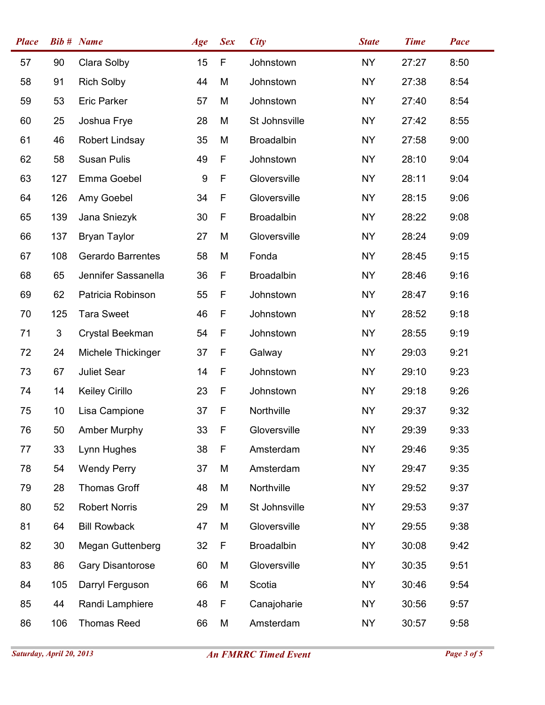| <b>Place</b> |     | <b>Bib #</b> Name        | Age | <b>Sex</b>  | <b>City</b>       | <b>State</b> | <b>Time</b> | Pace |
|--------------|-----|--------------------------|-----|-------------|-------------------|--------------|-------------|------|
| 57           | 90  | Clara Solby              | 15  | $\mathsf F$ | Johnstown         | <b>NY</b>    | 27:27       | 8:50 |
| 58           | 91  | <b>Rich Solby</b>        | 44  | M           | Johnstown         | <b>NY</b>    | 27:38       | 8:54 |
| 59           | 53  | <b>Eric Parker</b>       | 57  | M           | Johnstown         | <b>NY</b>    | 27:40       | 8:54 |
| 60           | 25  | Joshua Frye              | 28  | M           | St Johnsville     | <b>NY</b>    | 27:42       | 8:55 |
| 61           | 46  | Robert Lindsay           | 35  | M           | <b>Broadalbin</b> | <b>NY</b>    | 27:58       | 9:00 |
| 62           | 58  | <b>Susan Pulis</b>       | 49  | F           | Johnstown         | <b>NY</b>    | 28:10       | 9:04 |
| 63           | 127 | Emma Goebel              | 9   | F           | Gloversville      | <b>NY</b>    | 28:11       | 9:04 |
| 64           | 126 | Amy Goebel               | 34  | F           | Gloversville      | NY           | 28:15       | 9:06 |
| 65           | 139 | Jana Sniezyk             | 30  | F           | <b>Broadalbin</b> | <b>NY</b>    | 28:22       | 9:08 |
| 66           | 137 | <b>Bryan Taylor</b>      | 27  | M           | Gloversville      | NY           | 28:24       | 9:09 |
| 67           | 108 | <b>Gerardo Barrentes</b> | 58  | M           | Fonda             | <b>NY</b>    | 28:45       | 9:15 |
| 68           | 65  | Jennifer Sassanella      | 36  | F           | Broadalbin        | <b>NY</b>    | 28:46       | 9:16 |
| 69           | 62  | Patricia Robinson        | 55  | F           | Johnstown         | <b>NY</b>    | 28:47       | 9:16 |
| 70           | 125 | <b>Tara Sweet</b>        | 46  | F           | Johnstown         | <b>NY</b>    | 28:52       | 9:18 |
| 71           | 3   | Crystal Beekman          | 54  | F           | Johnstown         | <b>NY</b>    | 28:55       | 9:19 |
| 72           | 24  | Michele Thickinger       | 37  | F           | Galway            | <b>NY</b>    | 29:03       | 9:21 |
| 73           | 67  | Juliet Sear              | 14  | F           | Johnstown         | <b>NY</b>    | 29:10       | 9:23 |
| 74           | 14  | <b>Keiley Cirillo</b>    | 23  | F           | Johnstown         | <b>NY</b>    | 29:18       | 9:26 |
| 75           | 10  | Lisa Campione            | 37  | F           | Northville        | <b>NY</b>    | 29:37       | 9:32 |
| 76           | 50  | <b>Amber Murphy</b>      | 33  | F           | Gloversville      | <b>NY</b>    | 29:39       | 9:33 |
| 77           | 33  | Lynn Hughes              | 38  | F           | Amsterdam         | NY           | 29:46       | 9:35 |
| 78           | 54  | <b>Wendy Perry</b>       | 37  | M           | Amsterdam         | <b>NY</b>    | 29:47       | 9:35 |
| 79           | 28  | <b>Thomas Groff</b>      | 48  | M           | Northville        | <b>NY</b>    | 29:52       | 9:37 |
| 80           | 52  | <b>Robert Norris</b>     | 29  | M           | St Johnsville     | <b>NY</b>    | 29:53       | 9:37 |
| 81           | 64  | <b>Bill Rowback</b>      | 47  | M           | Gloversville      | <b>NY</b>    | 29:55       | 9:38 |
| 82           | 30  | <b>Megan Guttenberg</b>  | 32  | F           | <b>Broadalbin</b> | <b>NY</b>    | 30:08       | 9:42 |
| 83           | 86  | <b>Gary Disantorose</b>  | 60  | M           | Gloversville      | <b>NY</b>    | 30:35       | 9:51 |
| 84           | 105 | Darryl Ferguson          | 66  | M           | Scotia            | <b>NY</b>    | 30:46       | 9:54 |
| 85           | 44  | Randi Lamphiere          | 48  | F           | Canajoharie       | NY           | 30:56       | 9:57 |
| 86           | 106 | <b>Thomas Reed</b>       | 66  | M           | Amsterdam         | <b>NY</b>    | 30:57       | 9:58 |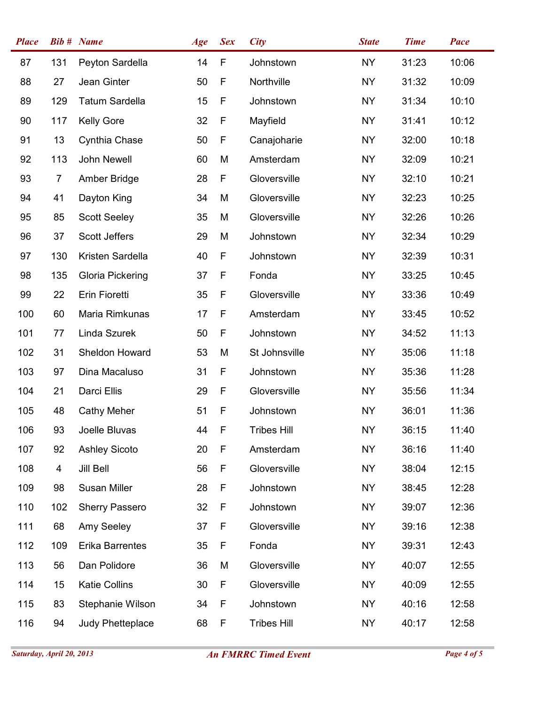| <b>Place</b> |                | <b>Bib # Name</b>       | Age | <b>Sex</b>  | <b>City</b>        | <b>State</b> | <b>Time</b> | Pace  |
|--------------|----------------|-------------------------|-----|-------------|--------------------|--------------|-------------|-------|
| 87           | 131            | Peyton Sardella         | 14  | $\mathsf F$ | Johnstown          | <b>NY</b>    | 31:23       | 10:06 |
| 88           | 27             | Jean Ginter             | 50  | F           | Northville         | <b>NY</b>    | 31:32       | 10:09 |
| 89           | 129            | <b>Tatum Sardella</b>   | 15  | F           | Johnstown          | <b>NY</b>    | 31:34       | 10:10 |
| 90           | 117            | <b>Kelly Gore</b>       | 32  | F           | Mayfield           | <b>NY</b>    | 31:41       | 10:12 |
| 91           | 13             | Cynthia Chase           | 50  | F           | Canajoharie        | <b>NY</b>    | 32:00       | 10:18 |
| 92           | 113            | John Newell             | 60  | M           | Amsterdam          | <b>NY</b>    | 32:09       | 10:21 |
| 93           | $\overline{7}$ | Amber Bridge            | 28  | F           | Gloversville       | <b>NY</b>    | 32:10       | 10:21 |
| 94           | 41             | Dayton King             | 34  | M           | Gloversville       | <b>NY</b>    | 32:23       | 10:25 |
| 95           | 85             | <b>Scott Seeley</b>     | 35  | M           | Gloversville       | <b>NY</b>    | 32:26       | 10:26 |
| 96           | 37             | <b>Scott Jeffers</b>    | 29  | M           | Johnstown          | <b>NY</b>    | 32:34       | 10:29 |
| 97           | 130            | Kristen Sardella        | 40  | F           | Johnstown          | <b>NY</b>    | 32:39       | 10:31 |
| 98           | 135            | <b>Gloria Pickering</b> | 37  | F           | Fonda              | <b>NY</b>    | 33:25       | 10:45 |
| 99           | 22             | Erin Fioretti           | 35  | F           | Gloversville       | <b>NY</b>    | 33:36       | 10:49 |
| 100          | 60             | Maria Rimkunas          | 17  | $\mathsf F$ | Amsterdam          | <b>NY</b>    | 33:45       | 10:52 |
| 101          | 77             | Linda Szurek            | 50  | F           | Johnstown          | <b>NY</b>    | 34:52       | 11:13 |
| 102          | 31             | Sheldon Howard          | 53  | M           | St Johnsville      | NY           | 35:06       | 11:18 |
| 103          | 97             | Dina Macaluso           | 31  | F           | Johnstown          | <b>NY</b>    | 35:36       | 11:28 |
| 104          | 21             | Darci Ellis             | 29  | F           | Gloversville       | NY           | 35:56       | 11:34 |
| 105          | 48             | <b>Cathy Meher</b>      | 51  | F           | Johnstown          | <b>NY</b>    | 36:01       | 11:36 |
| 106          | 93             | Joelle Bluvas           | 44  | F           | <b>Tribes Hill</b> | NY.          | 36:15       | 11:40 |
| 107          | 92             | <b>Ashley Sicoto</b>    | 20  | F           | Amsterdam          | <b>NY</b>    | 36:16       | 11:40 |
| 108          | 4              | Jill Bell               | 56  | F           | Gloversville       | <b>NY</b>    | 38:04       | 12:15 |
| 109          | 98             | Susan Miller            | 28  | F           | Johnstown          | <b>NY</b>    | 38:45       | 12:28 |
| 110          | 102            | <b>Sherry Passero</b>   | 32  | F           | Johnstown          | <b>NY</b>    | 39:07       | 12:36 |
| 111          | 68             | Amy Seeley              | 37  | F           | Gloversville       | <b>NY</b>    | 39:16       | 12:38 |
| 112          | 109            | <b>Erika Barrentes</b>  | 35  | F           | Fonda              | NY           | 39:31       | 12:43 |
| 113          | 56             | Dan Polidore            | 36  | M           | Gloversville       | <b>NY</b>    | 40:07       | 12:55 |
| 114          | 15             | <b>Katie Collins</b>    | 30  | F           | Gloversville       | <b>NY</b>    | 40:09       | 12:55 |
| 115          | 83             | Stephanie Wilson        | 34  | F           | Johnstown          | NY.          | 40:16       | 12:58 |
| 116          | 94             | Judy Phetteplace        | 68  | F           | <b>Tribes Hill</b> | <b>NY</b>    | 40:17       | 12:58 |